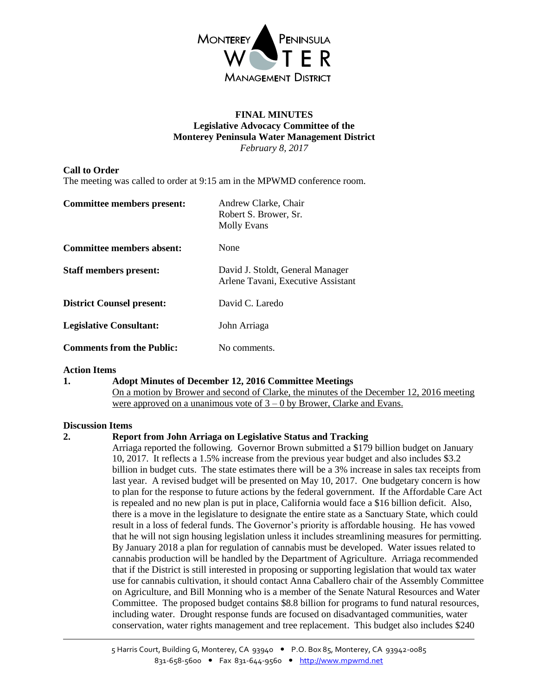

#### **FINAL MINUTES Legislative Advocacy Committee of the Monterey Peninsula Water Management District** *February 8, 2017*

# **Call to Order**

The meeting was called to order at 9:15 am in the MPWMD conference room.

| Committee members present:       | Andrew Clarke, Chair<br>Robert S. Brower, Sr.<br><b>Molly Evans</b>    |
|----------------------------------|------------------------------------------------------------------------|
| Committee members absent:        | None                                                                   |
| <b>Staff members present:</b>    | David J. Stoldt, General Manager<br>Arlene Tavani, Executive Assistant |
| <b>District Counsel present:</b> | David C. Laredo                                                        |
| <b>Legislative Consultant:</b>   | John Arriaga                                                           |
| <b>Comments from the Public:</b> | No comments.                                                           |

## **Action Items**

**1. Adopt Minutes of December 12, 2016 Committee Meetings** On a motion by Brower and second of Clarke, the minutes of the December 12, 2016 meeting were approved on a unanimous vote of  $3 - 0$  by Brower, Clarke and Evans.

## **Discussion Items**

## **2. Report from John Arriaga on Legislative Status and Tracking**

Arriaga reported the following. Governor Brown submitted a \$179 billion budget on January 10, 2017. It reflects a 1.5% increase from the previous year budget and also includes \$3.2 billion in budget cuts. The state estimates there will be a 3% increase in sales tax receipts from last year. A revised budget will be presented on May 10, 2017. One budgetary concern is how to plan for the response to future actions by the federal government. If the Affordable Care Act is repealed and no new plan is put in place, California would face a \$16 billion deficit. Also, there is a move in the legislature to designate the entire state as a Sanctuary State, which could result in a loss of federal funds. The Governor's priority is affordable housing. He has vowed that he will not sign housing legislation unless it includes streamlining measures for permitting. By January 2018 a plan for regulation of cannabis must be developed. Water issues related to cannabis production will be handled by the Department of Agriculture. Arriaga recommended that if the District is still interested in proposing or supporting legislation that would tax water use for cannabis cultivation, it should contact Anna Caballero chair of the Assembly Committee on Agriculture, and Bill Monning who is a member of the Senate Natural Resources and Water Committee. The proposed budget contains \$8.8 billion for programs to fund natural resources, including water. Drought response funds are focused on disadvantaged communities, water conservation, water rights management and tree replacement. This budget also includes \$240